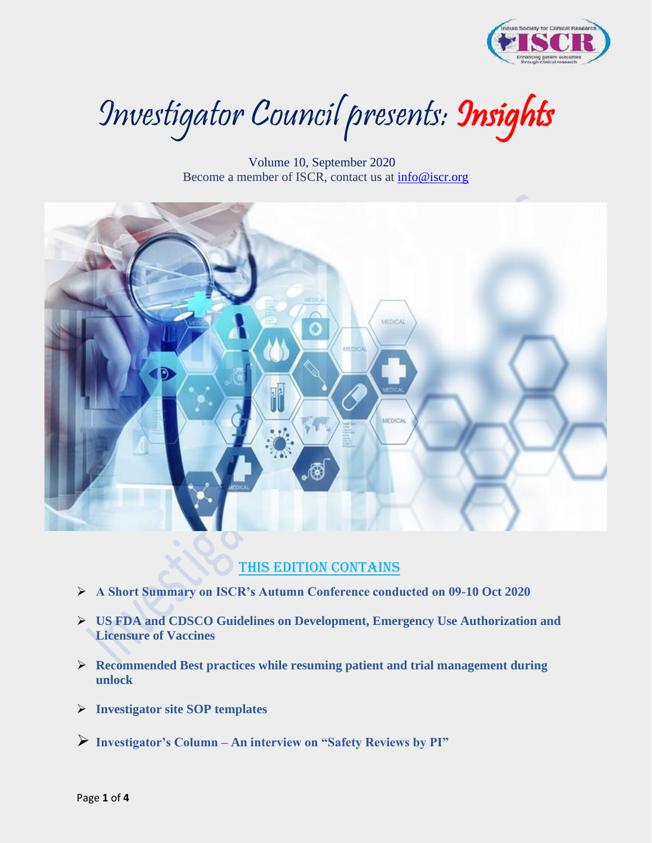

Investigator Council presents: Insights

 Volume 10, September 2020 Become a member of ISCR, contact us at [info@iscr.org](mailto:info@iscr.org) 



### This edition contains

- ➢ **A Short Summary on ISCR's Autumn Conference conducted on 09-10 Oct 2020**
- ➢ **US FDA and CDSCO Guidelines on Development, Emergency Use Authorization and Licensure of Vaccines**
- ➢ **Recommended Best practices while resuming patient and trial management during unlock**
- ➢ **Investigator site SOP templates**
- ➢ **Investigator's Column – An interview on "Safety Reviews by PI"**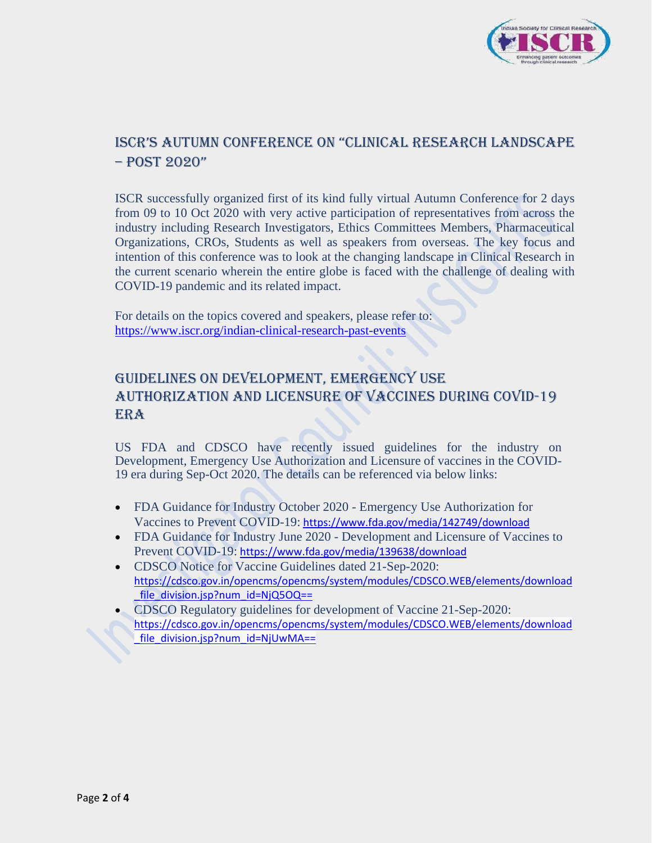

### ISCR's Autumn ConfeRenCe on "CliniCAl ReseARCh lAndsCApe – post 2020"

ISCR successfully organized first of its kind fully virtual Autumn Conference for 2 days from 09 to 10 Oct 2020 with very active participation of representatives from across the industry including Research Investigators, Ethics Committees Members, Pharmaceutical Organizations, CROs, Students as well as speakers from overseas. The key focus and intention of this conference was to look at the changing landscape in Clinical Research in the current scenario wherein the entire globe is faced with the challenge of dealing with COVID-19 pandemic and its related impact.

For details on the topics covered and speakers, please refer to: <https://www.iscr.org/indian-clinical-research-past-events>

## Guidelines on Development, Emergency use Authorization AND Licensure of vaccines during COVID-19 **ERA**

US FDA and CDSCO have recently issued guidelines for the industry on Development, Emergency Use Authorization and Licensure of vaccines in the COVID-19 era during Sep-Oct 2020. The details can be referenced via below links:

- FDA Guidance for Industry October 2020 Emergency Use Authorization for Vaccines to Prevent COVID-19: [https://www.fda.gov/media/142749/download](https://protect-us.mimecast.com/s/PNXICVOWLEUkg0XzuGDGOs?domain=fda.gov)
- FDA Guidance for Industry June 2020 Development and Licensure of Vaccines to Prevent COVID-19: [https://www.fda.gov/media/139638/download](https://protect-us.mimecast.com/s/b-qhCW61MGuXDzxNux5Bmt?domain=fda.gov)
- CDSCO Notice for Vaccine Guidelines dated 21-Sep-2020: [https://cdsco.gov.in/opencms/opencms/system/modules/CDSCO.WEB/elements/download](https://protect-us.mimecast.com/s/uxl0CXDPNJsDOBGkiD_hAV?domain=cdsco.gov.in) file\_division.jsp?num\_id=NjQ5OQ==
- CDSCO Regulatory guidelines for development of Vaccine 21-Sep-2020: [https://cdsco.gov.in/opencms/opencms/system/modules/CDSCO.WEB/elements/download](https://protect-us.mimecast.com/s/ZfuOCYEZOKIpAkgjTVk3Lb?domain=cdsco.gov.in) file\_division.jsp?num\_id=NjUwMA==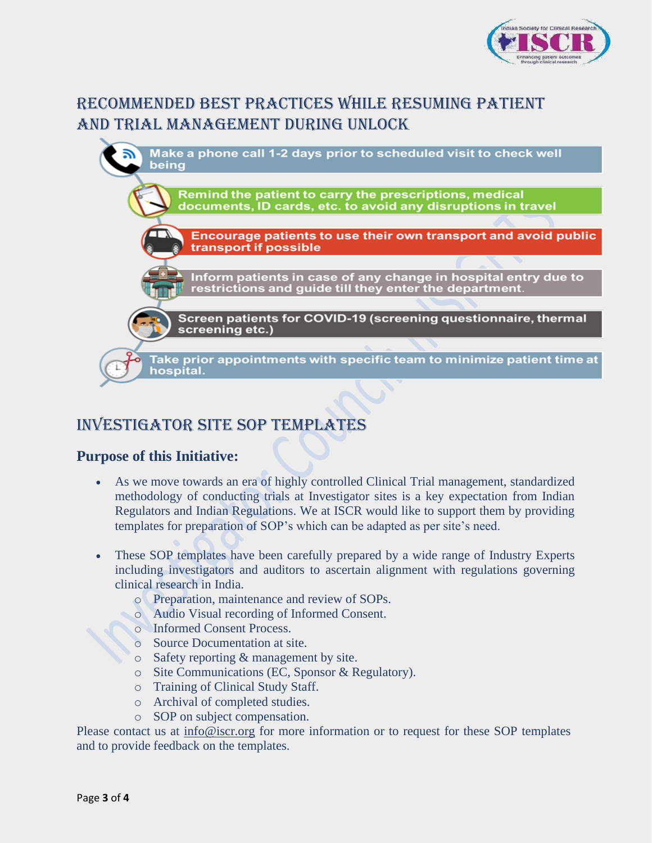

# Recommended Best practices while resuming patient and trial management during unlock



# INVESTIGATOR SITE SOP TEMPLATES

### **Purpose of this Initiative:**

- As we move towards an era of highly controlled Clinical Trial management, standardized methodology of conducting trials at Investigator sites is a key expectation from Indian Regulators and Indian Regulations. We at ISCR would like to support them by providing templates for preparation of SOP's which can be adapted as per site's need.
- These SOP templates have been carefully prepared by a wide range of Industry Experts including investigators and auditors to ascertain alignment with regulations governing clinical research in India.
	- o Preparation, maintenance and review of SOPs.
	- o Audio Visual recording of Informed Consent.
	- o Informed Consent Process.
	- o Source Documentation at site.
	- o Safety reporting & management by site.
	- o Site Communications (EC, Sponsor & Regulatory).
	- o Training of Clinical Study Staff.
	- o Archival of completed studies.
	- o SOP on subject compensation.

Please contact us at  $info@iscr.org$  for more information or to request for these SOP templates and to provide feedback on the templates.